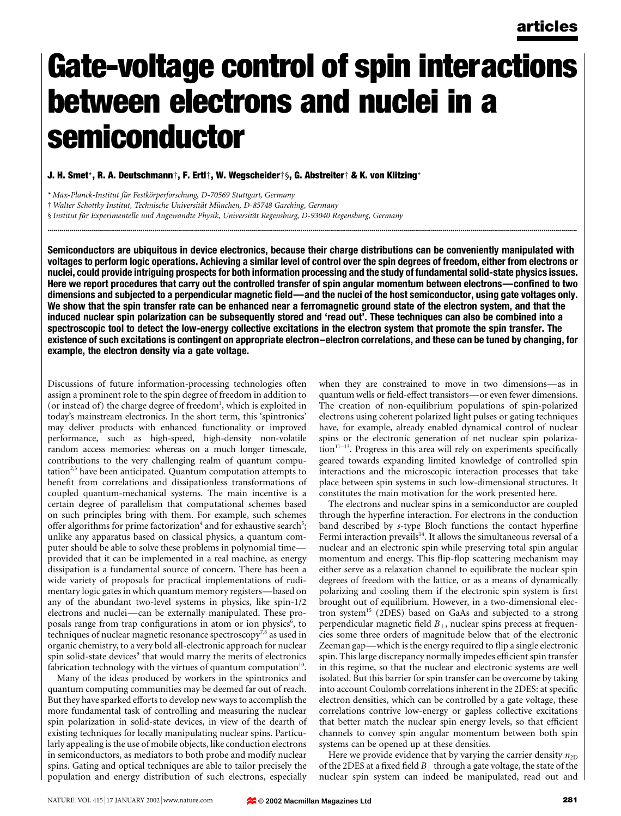# Gate-voltage control of spin interactions between electrons and nuclei in a semiconductor

J. H. Smet\*, R. A. Deutschmann†, F. Ertl†, W. Wegscheider†§, G. Abstreiter† & K. von Klitzing\*

\* Max-Planck-Institut für Festkörperforschung, D-70569 Stuttgart, Germany

 $\dagger$  Walter Schottky Institut, Technische Universität München, D-85748 Garching, Germany

§ Institut für Experimentelle und Angewandte Physik, Universität Regensburg, D-93040 Regensburg, Germany

Semiconductors are ubiquitous in device electronics, because their charge distributions can be conveniently manipulated with voltages to perform logic operations. Achieving a similar level of control over the spin degrees of freedom, either from electrons or nuclei, could provide intriguing prospects for both information processing and the study of fundamental solid-state physics issues. Here we report procedures that carry out the controlled transfer of spin angular momentum between electrons—confined to two dimensions and subjected to a perpendicular magnetic field—and the nuclei of the host semiconductor, using gate voltages only. We show that the spin transfer rate can be enhanced near a ferromagnetic ground state of the electron system, and that the induced nuclear spin polarization can be subsequently stored and 'read out'. These techniques can also be combined into a spectroscopic tool to detect the low-energy collective excitations in the electron system that promote the spin transfer. The existence of such excitations is contingent on appropriate electron-electron correlations, and these can be tuned by changing, for example, the electron density via a gate voltage.

............................................................................................................................................................................................................................................................................

Discussions of future information-processing technologies often assign a prominent role to the spin degree of freedom in addition to (or instead of) the charge degree of freedom<sup>1</sup>, which is exploited in today's mainstream electronics. In the short term, this `spintronics' may deliver products with enhanced functionality or improved performance, such as high-speed, high-density non-volatile random access memories: whereas on a much longer timescale, contributions to the very challenging realm of quantum computation<sup>2,3</sup> have been anticipated. Quantum computation attempts to benefit from correlations and dissipationless transformations of coupled quantum-mechanical systems. The main incentive is a certain degree of parallelism that computational schemes based on such principles bring with them. For example, such schemes offer algorithms for prime factorization<sup>4</sup> and for exhaustive search<sup>5</sup>; unlike any apparatus based on classical physics, a quantum computer should be able to solve these problems in polynomial time provided that it can be implemented in a real machine, as energy dissipation is a fundamental source of concern. There has been a wide variety of proposals for practical implementations of rudimentary logic gates in which quantum memory registers—based on any of the abundant two-level systems in physics, like spin-1/2 electrons and nuclei—can be externally manipulated. These proposals range from trap configurations in atom or ion physics<sup>6</sup>, to techniques of nuclear magnetic resonance spectroscopy<sup>7,8</sup> as used in organic chemistry, to a very bold all-electronic approach for nuclear spin solid-state devices<sup>9</sup> that would marry the merits of electronics fabrication technology with the virtues of quantum computation $10$ .

Many of the ideas produced by workers in the spintronics and quantum computing communities may be deemed far out of reach. But they have sparked efforts to develop new ways to accomplish the more fundamental task of controlling and measuring the nuclear spin polarization in solid-state devices, in view of the dearth of existing techniques for locally manipulating nuclear spins. Particularly appealing is the use of mobile objects, like conduction electrons in semiconductors, as mediators to both probe and modify nuclear spins. Gating and optical techniques are able to tailor precisely the population and energy distribution of such electrons, especially

when they are constrained to move in two dimensions—as in quantum wells or field-effect transistors—or even fewer dimensions. The creation of non-equilibrium populations of spin-polarized electrons using coherent polarized light pulses or gating techniques have, for example, already enabled dynamical control of nuclear spins or the electronic generation of net nuclear spin polariza- $\text{tion}^{11-13}$ . Progress in this area will rely on experiments specifically geared towards expanding limited knowledge of controlled spin interactions and the microscopic interaction processes that take place between spin systems in such low-dimensional structures. It constitutes the main motivation for the work presented here.

The electrons and nuclear spins in a semiconductor are coupled through the hyperfine interaction. For electrons in the conduction band described by s-type Bloch functions the contact hyperfine Fermi interaction prevails $14$ . It allows the simultaneous reversal of a nuclear and an electronic spin while preserving total spin angular momentum and energy. This flip-flop scattering mechanism may either serve as a relaxation channel to equilibrate the nuclear spin degrees of freedom with the lattice, or as a means of dynamically polarizing and cooling them if the electronic spin system is first brought out of equilibrium. However, in a two-dimensional electron system<sup>15</sup> (2DES) based on GaAs and subjected to a strong perpendicular magnetic field  $B<sub>1</sub>$ , nuclear spins precess at frequencies some three orders of magnitude below that of the electronic Zeeman gap—which is the energy required to flip a single electronic spin. This large discrepancy normally impedes efficient spin transfer in this regime, so that the nuclear and electronic systems are well isolated. But this barrier for spin transfer can be overcome by taking into account Coulomb correlations inherent in the 2DES: at specific electron densities, which can be controlled by a gate voltage, these correlations contrive low-energy or gapless collective excitations that better match the nuclear spin energy levels, so that efficient channels to convey spin angular momentum between both spin systems can be opened up at these densities.

Here we provide evidence that by varying the carrier density  $n_{2D}$ of the 2DES at a fixed field  $B_{\perp}$  through a gate voltage, the state of the nuclear spin system can indeed be manipulated, read out and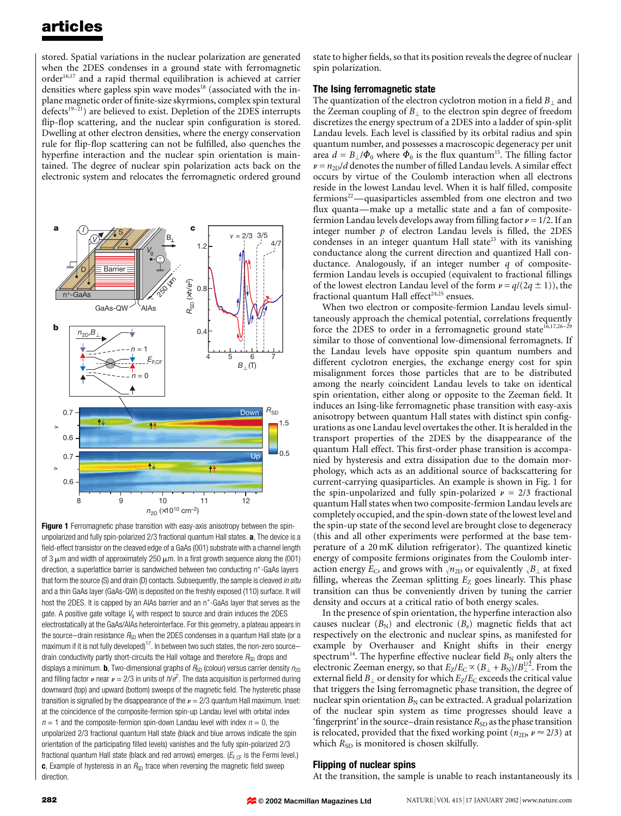stored. Spatial variations in the nuclear polarization are generated when the 2DES condenses in a ground state with ferromagnetic order<sup>16,17</sup> and a rapid thermal equilibration is achieved at carrier densities where gapless spin wave modes<sup>18</sup> (associated with the inplane magnetic order of finite-size skyrmions, complex spin textural defects<sup>19 $-21$ </sup>) are believed to exist. Depletion of the 2DES interrupts flip-flop scattering, and the nuclear spin configuration is stored. Dwelling at other electron densities, where the energy conservation rule for flip-flop scattering can not be fulfilled, also quenches the hyperfine interaction and the nuclear spin orientation is maintained. The degree of nuclear spin polarization acts back on the electronic system and relocates the ferromagnetic ordered ground



Figure 1 Ferromagnetic phase transition with easy-axis anisotropy between the spinunpolarized and fully spin-polarized 2/3 fractional quantum Hall states. a, The device is a field-effect transistor on the cleaved edge of a GaAs (001) substrate with a channel length of 3  $\mu$ m and width of approximately 250  $\mu$ m. In a first growth sequence along the (001) direction, a superlattice barrier is sandwiched between two conducting n<sup>+</sup>-GaAs layers that form the source (S) and drain (D) contacts. Subsequently, the sample is cleaved in situ and a thin GaAs layer (GaAs-QW) is deposited on the freshly exposed (110) surface. It will host the 2DES. It is capped by an AIAs barrier and an n<sup>+</sup>-GaAs layer that serves as the gate. A positive gate voltage  $V<sub>0</sub>$  with respect to source and drain induces the 2DES electrostatically at the GaAs/AlAs heterointerface. For this geometry, a plateau appears in the source-drain resistance  $R_{SD}$  when the 2DES condenses in a quantum Hall state (or a maximum if it is not fully developed)<sup>17</sup>. In between two such states, the non-zero sourcedrain conductivity partly short-circuits the Hall voltage and therefore  $R_{SD}$  drops and displays a minimum. **b**, Two-dimensional graphs of  $R_{SD}$  (colour) versus carrier density  $n_{2D}$ and filling factor  $\nu$  near  $\nu = 2/3$  in units of  $h/e^2$ . The data acquisition is performed during downward (top) and upward (bottom) sweeps of the magnetic field. The hysteretic phase transition is signalled by the disappearance of the  $\nu = 2/3$  quantum Hall maximum. Inset: at the coincidence of the composite-fermion spin-up Landau level with orbital index  $n = 1$  and the composite-fermion spin-down Landau level with index  $n = 0$ , the unpolarized 2/3 fractional quantum Hall state (black and blue arrows indicate the spin orientation of the participating filled levels) vanishes and the fully spin-polarized 2/3 fractional quantum Hall state (black and red arrows) emerges. ( $E_{F,CF}$  is the Fermi level.) c, Example of hysteresis in an  $R_{SD}$  trace when reversing the magnetic field sweep direction.

state to higher fields, so that its position reveals the degree of nuclear spin polarization.

### The Ising ferromagnetic state

The quantization of the electron cyclotron motion in a field  $B_1$  and the Zeeman coupling of  $B_{\perp}$  to the electron spin degree of freedom discretizes the energy spectrum of a 2DES into a ladder of spin-split Landau levels. Each level is classified by its orbital radius and spin quantum number, and possesses a macroscopic degeneracy per unit area  $d = B_{\perp}/\Phi_0$  where  $\Phi_0$  is the flux quantum<sup>15</sup>. The filling factor  $\nu = n_{2D}/d$  denotes the number of filled Landau levels. A similar effect occurs by virtue of the Coulomb interaction when all electrons reside in the lowest Landau level. When it is half filled, composite fermions<sup>22</sup>—quasiparticles assembled from one electron and two flux quanta—make up a metallic state and a fan of compositefermion Landau levels develops away from filling factor  $\nu = 1/2$ . If an integer number  $p$  of electron Landau levels is filled, the 2DES condenses in an integer quantum Hall state<sup>23</sup> with its vanishing conductance along the current direction and quantized Hall conductance. Analogously, if an integer number  $q$  of compositefermion Landau levels is occupied (equivalent to fractional fillings of the lowest electron Landau level of the form  $\nu = q/(2q \pm 1)$ ), the fractional quantum Hall effect<sup>24,25</sup> ensues.

When two electron or composite-fermion Landau levels simultaneously approach the chemical potential, correlations frequently force the 2DES to order in a ferromagnetic ground state $16,17,26-29$ similar to those of conventional low-dimensional ferromagnets. If the Landau levels have opposite spin quantum numbers and different cyclotron energies, the exchange energy cost for spin misalignment forces those particles that are to be distributed among the nearly coincident Landau levels to take on identical spin orientation, either along or opposite to the Zeeman field. It induces an Ising-like ferromagnetic phase transition with easy-axis anisotropy between quantum Hall states with distinct spin configurations as one Landau level overtakes the other. It is heralded in the transport properties of the 2DES by the disappearance of the quantum Hall effect. This first-order phase transition is accompanied by hysteresis and extra dissipation due to the domain morphology, which acts as an additional source of backscattering for current-carrying quasiparticles. An example is shown in Fig. 1 for the spin-unpolarized and fully spin-polarized  $\nu = 2/3$  fractional quantum Hall states when two composite-fermion Landau levels are completely occupied, and the spin-down state of the lowest level and the spin-up state of the second level are brought close to degeneracy (this and all other experiments were performed at the base temperature of a 20 mK dilution refrigerator). The quantized kinetic energy of composite fermions originates from the Coulomb interaction energy  $E_C$ , and grows with  $\sqrt{n_{2D}}$  or equivalently  $\sqrt{B_{\perp}}$  at fixed filling, whereas the Zeeman splitting  $E_Z$  goes linearly. This phase transition can thus be conveniently driven by tuning the carrier density and occurs at a critical ratio of both energy scales.

In the presence of spin orientation, the hyperfine interaction also causes nuclear  $(B_N)$  and electronic  $(B_e)$  magnetic fields that act respectively on the electronic and nuclear spins, as manifested for example by Overhauser and Knight shifts in their energy spectrum<sup>14</sup>. The hyperfine effective nuclear field  $B_N$  only alters the electronic Zeeman energy, so that  $E_Z/E_C \propto (B_\perp + B_N)/B^{1/2}_\perp$ . From the external field  $B_{\perp}$  or density for which  $E_Z/E_C$  exceeds the critical value that triggers the Ising ferromagnetic phase transition, the degree of nuclear spin orientation  $B_N$  can be extracted. A gradual polarization of the nuclear spin system as time progresses should leave a 'fingerprint' in the source-drain resistance  $R_{SD}$  as the phase transition is relocated, provided that the fixed working point ( $n_{2D}$ ,  $\nu \approx 2/3$ ) at which  $R_{SD}$  is monitored is chosen skilfully.

## Flipping of nuclear spins

At the transition, the sample is unable to reach instantaneously its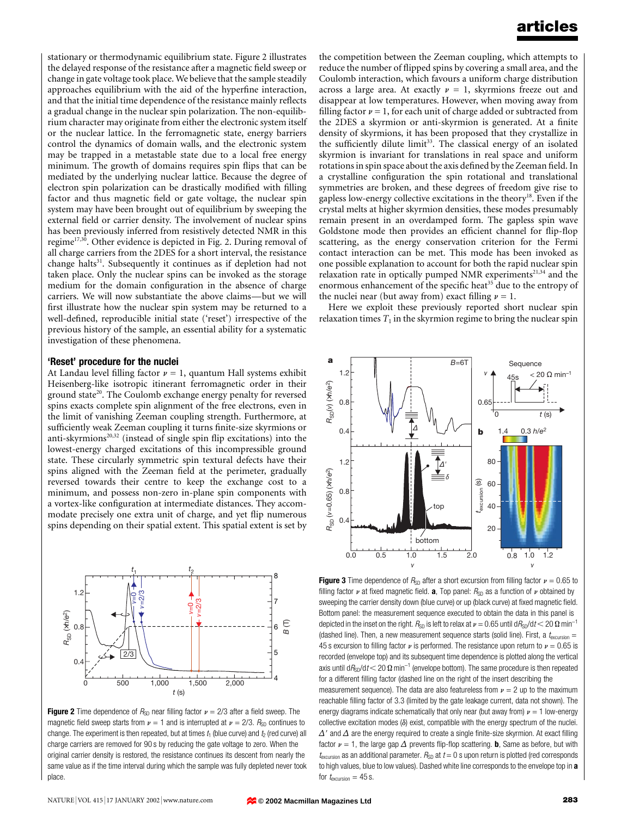stationary or thermodynamic equilibrium state. Figure 2 illustrates the delayed response of the resistance after a magnetic field sweep or change in gate voltage took place. We believe that the sample steadily approaches equilibrium with the aid of the hyperfine interaction, and that the initial time dependence of the resistance mainly reflects a gradual change in the nuclear spin polarization. The non-equilibrium character may originate from either the electronic system itself or the nuclear lattice. In the ferromagnetic state, energy barriers control the dynamics of domain walls, and the electronic system may be trapped in a metastable state due to a local free energy minimum. The growth of domains requires spin flips that can be mediated by the underlying nuclear lattice. Because the degree of electron spin polarization can be drastically modified with filling factor and thus magnetic field or gate voltage, the nuclear spin system may have been brought out of equilibrium by sweeping the external field or carrier density. The involvement of nuclear spins has been previously inferred from resistively detected NMR in this regime<sup>17,30</sup>. Other evidence is depicted in Fig. 2. During removal of all charge carriers from the 2DES for a short interval, the resistance change halts<sup>31</sup>. Subsequently it continues as if depletion had not taken place. Only the nuclear spins can be invoked as the storage medium for the domain configuration in the absence of charge carriers. We will now substantiate the above claims-but we will first illustrate how the nuclear spin system may be returned to a well-defined, reproducible initial state ('reset') irrespective of the previous history of the sample, an essential ability for a systematic investigation of these phenomena.

#### 'Reset' procedure for the nuclei

At Landau level filling factor  $\nu = 1$ , quantum Hall systems exhibit Heisenberg-like isotropic itinerant ferromagnetic order in their ground state<sup>20</sup>. The Coulomb exchange energy penalty for reversed spins exacts complete spin alignment of the free electrons, even in the limit of vanishing Zeeman coupling strength. Furthermore, at sufficiently weak Zeeman coupling it turns finite-size skyrmions or anti-skyrmions<sup>20,32</sup> (instead of single spin flip excitations) into the lowest-energy charged excitations of this incompressible ground state. These circularly symmetric spin textural defects have their spins aligned with the Zeeman field at the perimeter, gradually reversed towards their centre to keep the exchange cost to a minimum, and possess non-zero in-plane spin components with a vortex-like configuration at intermediate distances. They accommodate precisely one extra unit of charge, and yet flip numerous spins depending on their spatial extent. This spatial extent is set by



**Figure 2** Time dependence of  $R_{SD}$  near filling factor  $\nu = 2/3$  after a field sweep. The magnetic field sweep starts from  $\nu = 1$  and is interrupted at  $\nu = 2/3$ . R<sub>SD</sub> continues to change. The experiment is then repeated, but at times  $t_1$  (blue curve) and  $t_2$  (red curve) all charge carriers are removed for 90 s by reducing the gate voltage to zero. When the original carrier density is restored, the resistance continues its descent from nearly the same value as if the time interval during which the sample was fully depleted never took place.

the competition between the Zeeman coupling, which attempts to reduce the number of flipped spins by covering a small area, and the Coulomb interaction, which favours a uniform charge distribution across a large area. At exactly  $\nu = 1$ , skyrmions freeze out and disappear at low temperatures. However, when moving away from filling factor  $\nu = 1$ , for each unit of charge added or subtracted from the 2DES a skyrmion or anti-skyrmion is generated. At a finite density of skyrmions, it has been proposed that they crystallize in the sufficiently dilute limit<sup>33</sup>. The classical energy of an isolated skyrmion is invariant for translations in real space and uniform rotations in spin space about the axis defined by the Zeeman field. In a crystalline configuration the spin rotational and translational symmetries are broken, and these degrees of freedom give rise to gapless low-energy collective excitations in the theory<sup>18</sup>. Even if the crystal melts at higher skyrmion densities, these modes presumably remain present in an overdamped form. The gapless spin wave Goldstone mode then provides an efficient channel for flip-flop scattering, as the energy conservation criterion for the Fermi contact interaction can be met. This mode has been invoked as one possible explanation to account for both the rapid nuclear spin relaxation rate in optically pumped NMR experiments<sup>21,34</sup> and the enormous enhancement of the specific heat<sup>35</sup> due to the entropy of the nuclei near (but away from) exact filling  $\nu = 1$ .

Here we exploit these previously reported short nuclear spin relaxation times  $T_1$  in the skyrmion regime to bring the nuclear spin



**Figure 3** Time dependence of  $R_{SD}$  after a short excursion from filling factor  $\nu = 0.65$  to filling factor  $\nu$  at fixed magnetic field. **a**, Top panel:  $R_{SD}$  as a function of  $\nu$  obtained by sweeping the carrier density down (blue curve) or up (black curve) at fixed magnetic field. Bottom panel: the measurement sequence executed to obtain the data in this panel is depicted in the inset on the right.  $R_{SD}$  is left to relax at  $\nu = 0.65$  until d $R_{SD}/dt$  < 20  $\Omega$  min<sup>-1</sup> (dashed line). Then, a new measurement sequence starts (solid line). First, a  $t_{\text{excursion}} =$ 45 s excursion to filling factor  $\nu$  is performed. The resistance upon return to  $\nu = 0.65$  is recorded (envelope top) and its subsequent time dependence is plotted along the vertical axis until  $dR_{SD}/dt$  < 20  $\Omega$  min<sup>-1</sup> (envelope bottom). The same procedure is then repeated for a different filling factor (dashed line on the right of the insert describing the

measurement sequence). The data are also featureless from  $\nu = 2$  up to the maximum reachable filling factor of 3.3 (limited by the gate leakage current, data not shown). The energy diagrams indicate schematically that only near (but away from)  $\nu = 1$  low-energy collective excitation modes  $(\delta)$  exist, compatible with the energy spectrum of the nuclei.  $\Delta'$  and  $\Delta$  are the energy required to create a single finite-size skyrmion. At exact filling factor  $\nu = 1$ , the large gap  $\Delta$  prevents flip-flop scattering. **b**, Same as before, but with  $t_{\text{exclusion}}$  as an additional parameter.  $R_{SD}$  at  $t = 0$  s upon return is plotted (red corresponds to high values, blue to low values). Dashed white line corresponds to the envelope top in a for  $t_{\text{excursion}} = 45$  s.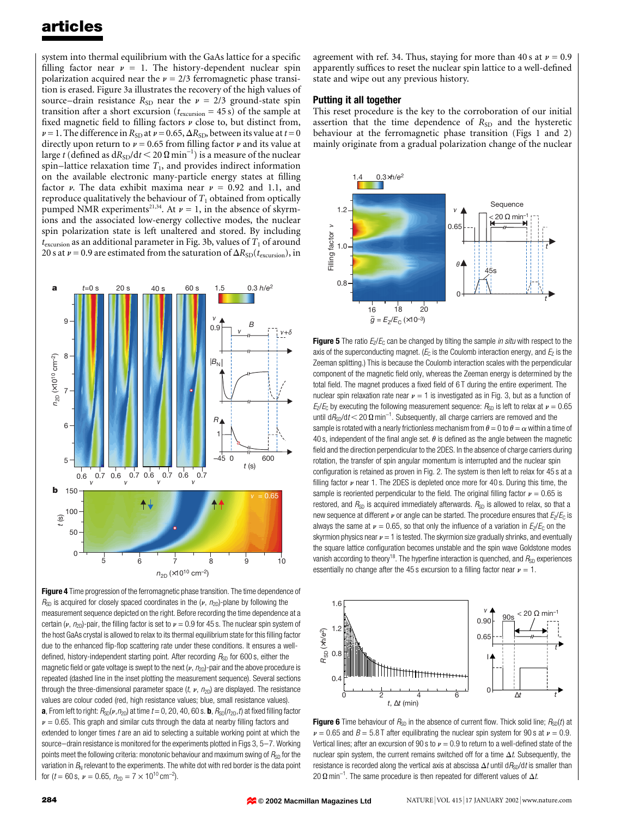system into thermal equilibrium with the GaAs lattice for a specific filling factor near  $\nu = 1$ . The history-dependent nuclear spin polarization acquired near the  $\nu = 2/3$  ferromagnetic phase transition is erased. Figure 3a illustrates the recovery of the high values of source-drain resistance  $R_{SD}$  near the  $\nu = 2/3$  ground-state spin transition after a short excursion ( $t_{\text{exclusion}} = 45 \text{ s}$ ) of the sample at fixed magnetic field to filling factors  $\nu$  close to, but distinct from,  $\nu$  = 1. The difference in  $R_{SD}$  at  $\nu$  = 0.65,  $\Delta R_{SD}$ , between its value at  $t=0$ directly upon return to  $\nu = 0.65$  from filling factor  $\nu$  and its value at large  $t$  (defined as  $\mathrm{d}R_{\mathrm{SD}}/\mathrm{d}t$   $<$  20  $\Omega$   $\mathrm{min}^{-1})$  is a measure of the nuclear spin-lattice relaxation time  $T_1$ , and provides indirect information on the available electronic many-particle energy states at filling factor  $\nu$ . The data exhibit maxima near  $\nu = 0.92$  and 1.1, and reproduce qualitatively the behaviour of  $T_1$  obtained from optically pumped NMR experiments<sup>21,34</sup>. At  $\nu = 1$ , in the absence of skyrmions and the associated low-energy collective modes, the nuclear spin polarization state is left unaltered and stored. By including  $t_{\text{exclusion}}$  as an additional parameter in Fig. 3b, values of  $T_1$  of around 20 s at  $\nu$  = 0.9 are estimated from the saturation of  $\Delta R_{SD}(t_{\text{exclusion}})$ , in



Figure 4 Time progression of the ferromagnetic phase transition. The time dependence of  $R_{SD}$  is acquired for closely spaced coordinates in the ( $\nu$ ,  $n_{2D}$ )-plane by following the measurement sequence depicted on the right. Before recording the time dependence at a certain ( $\nu$ ,  $n_{2D}$ )-pair, the filling factor is set to  $\nu = 0.9$  for 45 s. The nuclear spin system of the host GaAs crystal is allowed to relax to its thermal equilibrium state for this filling factor due to the enhanced flip-flop scattering rate under these conditions. It ensures a welldefined, history-independent starting point. After recording  $R_{SD}$  for 600 s, either the magnetic field or gate voltage is swept to the next ( $\nu$ ,  $n_{2D}$ )-pair and the above procedure is repeated (dashed line in the inset plotting the measurement sequence). Several sections through the three-dimensional parameter space  $(t, v, n_{2D})$  are displayed. The resistance values are colour coded (red, high resistance values; blue, small resistance values). **a**, From left to right:  $R_{SD}(\nu, n_{2D})$  at time  $t = 0$ , 20, 40, 60 s. **b**,  $R_{SD}(n_{2D}, t)$  at fixed filling factor  $\nu$  = 0.65. This graph and similar cuts through the data at nearby filling factors and extended to longer times  $t$  are an aid to selecting a suitable working point at which the source-drain resistance is monitored for the experiments plotted in Figs 3, 5-7. Working points meet the following criteria: monotonic behaviour and maximum swing of  $R_{SD}$  for the variation in  $B_N$  relevant to the experiments. The white dot with red border is the data point for (*t* = 60 s,  $\nu$  = 0.65,  $n_{2D} = 7 \times 10^{10} \text{ cm}^{-2}$ ).

agreement with ref. 34. Thus, staying for more than 40 s at  $\nu = 0.9$ apparently suffices to reset the nuclear spin lattice to a well-defined state and wipe out any previous history.

#### Putting it all together

This reset procedure is the key to the corroboration of our initial assertion that the time dependence of  $R_{SD}$  and the hysteretic behaviour at the ferromagnetic phase transition (Figs 1 and 2) mainly originate from a gradual polarization change of the nuclear



Figure 5 The ratio  $E_2/E_C$  can be changed by tilting the sample in situ with respect to the axis of the superconducting magnet. ( $E<sub>C</sub>$  is the Coulomb interaction energy, and  $E<sub>Z</sub>$  is the Zeeman splitting.) This is because the Coulomb interaction scales with the perpendicular component of the magnetic field only, whereas the Zeeman energy is determined by the total field. The magnet produces a fixed field of  $6$  T during the entire experiment. The nuclear spin relaxation rate near  $\nu = 1$  is investigated as in Fig. 3, but as a function of  $E_Z/E_C$  by executing the following measurement sequence:  $R_{SD}$  is left to relax at  $\nu = 0.65$ until d $\mathit{R}_{\text{SD}}/\text{d}\mathit{t}$   $<$  20  $\Omega$  min $^{-1}$ . Subsequently, all charge carriers are removed and the sample is rotated with a nearly frictionless mechanism from  $\theta = 0$  to  $\theta = \alpha$  within a time of 40 s, independent of the final angle set.  $\theta$  is defined as the angle between the magnetic field and the direction perpendicular to the 2DES. In the absence of charge carriers during rotation, the transfer of spin angular momentum is interrupted and the nuclear spin configuration is retained as proven in Fig. 2. The system is then left to relax for 45 s at a filling factor  $\nu$  near 1. The 2DES is depleted once more for 40 s. During this time, the sample is reoriented perpendicular to the field. The original filling factor  $\nu = 0.65$  is restored, and  $R_{SD}$  is acquired immediately afterwards.  $R_{SD}$  is allowed to relax, so that a new sequence at different  $\nu$  or angle can be started. The procedure ensures that  $E_z/E_c$  is always the same at  $\nu = 0.65$ , so that only the influence of a variation in  $E_z/E_c$  on the skyrmion physics near  $\nu = 1$  is tested. The skyrmion size gradually shrinks, and eventually the square lattice configuration becomes unstable and the spin wave Goldstone modes vanish according to theory<sup>18</sup>. The hyperfine interaction is quenched, and  $R_{SD}$  experiences essentially no change after the 45 s excursion to a filling factor near  $\nu = 1$ .



**Figure 6** Time behaviour of  $R_{SD}$  in the absence of current flow. Thick solid line;  $R_{SD}(t)$  at  $\nu$  = 0.65 and B = 5.8 T after equilibrating the nuclear spin system for 90 s at  $\nu$  = 0.9. Vertical lines; after an excursion of 90 s to  $\nu = 0.9$  to return to a well-defined state of the nuclear spin system, the current remains switched off for a time  $\Delta t$ . Subsequently, the resistance is recorded along the vertical axis at abscissa  $\Delta t$  until d $R_{\rm SD}/dt$  is smaller than 20  $\Omega$  min<sup>-1</sup>. The same procedure is then repeated for different values of  $\Delta t$ .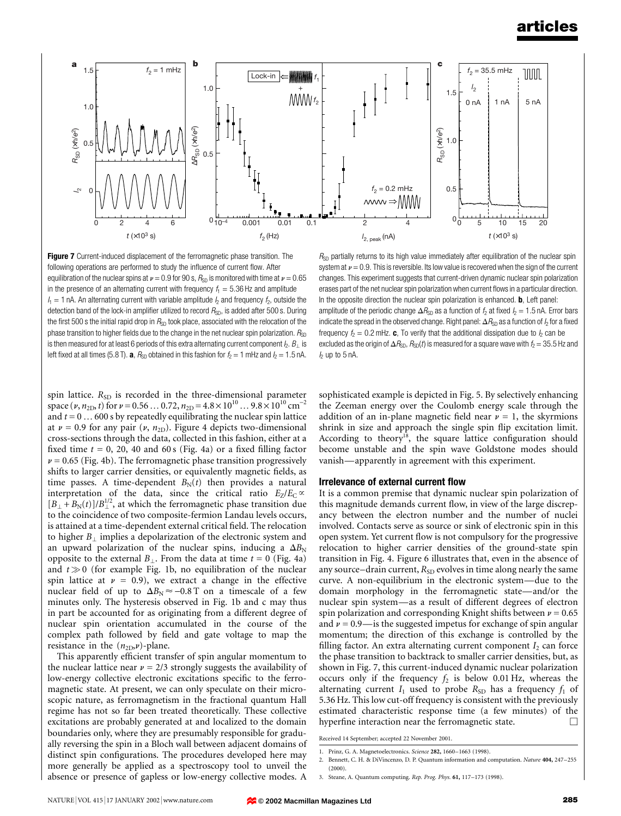

Figure 7 Current-induced displacement of the ferromagnetic phase transition. The following operations are performed to study the influence of current flow. After equilibration of the nuclear spins at  $\nu = 0.9$  for 90 s,  $R_{SD}$  is monitored with time at  $\nu = 0.65$ in the presence of an alternating current with frequency  $f_1 = 5.36$  Hz and amplitude  $I_1 = 1$  nA. An alternating current with variable amplitude  $I_2$  and frequency  $I_2$ , outside the detection band of the lock-in amplifier utilized to record  $R_{SD}$ , is added after 500 s. During the first 500 s the initial rapid drop in  $R_{SD}$  took place, associated with the relocation of the phase transition to higher fields due to the change in the net nuclear spin polarization.  $R_{SD}$ is then measured for at least 6 periods of this extra alternating current component  $h, B_{\perp}$  is left fixed at all times (5.8 T). **a**,  $R_{SD}$  obtained in this fashion for  $f_2 = 1$  mHz and  $I_2 = 1.5$  nA.

 $R_{SD}$  partially returns to its high value immediately after equilibration of the nuclear spin system at  $\nu$  = 0.9. This is reversible. Its low value is recovered when the sign of the current changes. This experiment suggests that current-driven dynamic nuclear spin polarization erases part of the net nuclear spin polarization when current flows in a particular direction. In the opposite direction the nuclear spin polarization is enhanced. **b**, Left panel: amplitude of the periodic change  $\Delta R_{SD}$  as a function of  $f_2$  at fixed  $I_2 = 1.5$  nA. Error bars indicate the spread in the observed change. Right panel:  $\Delta R_{\textrm{SD}}$  as a function of  $I_2$  for a fixed frequency  $f_2 = 0.2$  mHz. c, To verify that the additional dissipation due to  $f_2$  can be excluded as the origin of  $\Delta R_{SD}$ ,  $R_{SD}(t)$  is measured for a square wave with  $f_2 = 35.5$  Hz and  $h$  up to 5 nA.

spin lattice.  $R_{SD}$  is recorded in the three-dimensional parameter space (v,  $n_{2D}$ , t) for  $\nu = 0.56...0.72$ ,  $n_{2D} = 4.8 \times 10^{10}...9.8 \times 10^{10}$  cm<sup>-2</sup> and  $t = 0 \ldots 600$  s by repeatedly equilibrating the nuclear spin lattice at  $\nu$  = 0.9 for any pair ( $\nu$ ,  $n_{2D}$ ). Figure 4 depicts two-dimensional cross-sections through the data, collected in this fashion, either at a fixed time  $t = 0$ , 20, 40 and 60 s (Fig. 4a) or a fixed filling factor  $\nu$  = 0.65 (Fig. 4b). The ferromagnetic phase transition progressively shifts to larger carrier densities, or equivalently magnetic fields, as time passes. A time-dependent  $B_N(t)$  then provides a natural interpretation of the data, since the critical ratio  $E_Z/E_C \propto$  $[B_{\perp} + B_{\rm N}(t)]/B_{\perp}^{1/2}$ , at which the ferromagnetic phase transition due to the coincidence of two composite-fermion Landau levels occurs, is attained at a time-dependent external critical field. The relocation to higher  $B_{\perp}$  implies a depolarization of the electronic system and an upward polarization of the nuclear spins, inducing a  $\Delta B_N$ opposite to the external  $B_{\perp}$ . From the data at time  $t = 0$  (Fig. 4a) and  $t\gg 0$  (for example Fig. 1b, no equilibration of the nuclear spin lattice at  $\nu = 0.9$ ), we extract a change in the effective nuclear field of up to  $\Delta B_N \approx -0.8$  T on a timescale of a few minutes only. The hysteresis observed in Fig. 1b and c may thus in part be accounted for as originating from a different degree of nuclear spin orientation accumulated in the course of the complex path followed by field and gate voltage to map the resistance in the  $(n_{2D}, \nu)$ -plane.

This apparently efficient transfer of spin angular momentum to the nuclear lattice near  $\nu = 2/3$  strongly suggests the availability of low-energy collective electronic excitations specific to the ferromagnetic state. At present, we can only speculate on their microscopic nature, as ferromagnetism in the fractional quantum Hall regime has not so far been treated theoretically. These collective excitations are probably generated at and localized to the domain boundaries only, where they are presumably responsible for gradually reversing the spin in a Bloch wall between adjacent domains of distinct spin configurations. The procedures developed here may more generally be applied as a spectroscopy tool to unveil the absence or presence of gapless or low-energy collective modes. A

sophisticated example is depicted in Fig. 5. By selectively enhancing the Zeeman energy over the Coulomb energy scale through the addition of an in-plane magnetic field near  $\nu = 1$ , the skyrmions shrink in size and approach the single spin flip excitation limit. According to theory<sup>18</sup>, the square lattice configuration should become unstable and the spin wave Goldstone modes should vanish—apparently in agreement with this experiment.

#### Irrelevance of external current flow

It is a common premise that dynamic nuclear spin polarization of this magnitude demands current flow, in view of the large discrepancy between the electron number and the number of nuclei involved. Contacts serve as source or sink of electronic spin in this open system. Yet current flow is not compulsory for the progressive relocation to higher carrier densities of the ground-state spin transition in Fig. 4. Figure 6 illustrates that, even in the absence of any source-drain current,  $R_{SD}$  evolves in time along nearly the same curve. A non-equilibrium in the electronic system-due to the domain morphology in the ferromagnetic state—and/or the nuclear spin system—as a result of different degrees of electron spin polarization and corresponding Knight shifts between  $\nu = 0.65$ and  $\nu = 0.9$ —is the suggested impetus for exchange of spin angular momentum; the direction of this exchange is controlled by the filling factor. An extra alternating current component  $I_2$  can force the phase transition to backtrack to smaller carrier densities, but, as shown in Fig. 7, this current-induced dynamic nuclear polarization occurs only if the frequency  $f_2$  is below 0.01 Hz, whereas the alternating current  $I_1$  used to probe  $R_{SD}$  has a frequency  $f_1$  of 5.36 Hz. This low cut-off frequency is consistent with the previously estimated characteristic response time (a few minutes) of the hyperfine interaction near the ferromagnetic state.

Received 14 September; accepted 22 November 2001.

- 1. Prinz, G. A. Magnetoelectronics. Science 282, 1660-1663 (1998).
- 2. Bennett, C. H. & DiVincenzo, D. P. Quantum information and computation. Nature 404, 247-255  $(2000)$
- 3. Steane, A. Quantum computing. Rep. Prog. Phys. 61, 117-173 (1998).